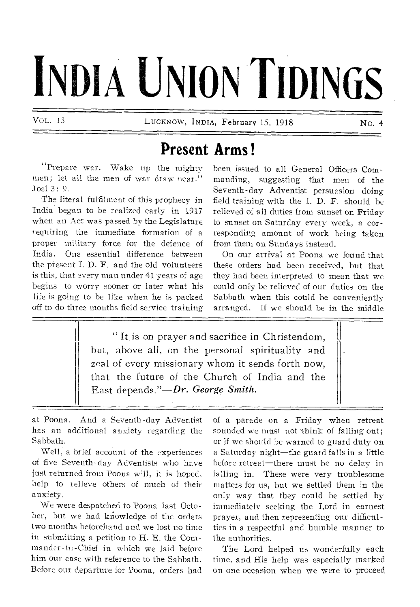# **INDIA UNION TIDINGS**

VOL. 13 **LUCKNOW, INDIA, February 15, 1918** No. 4

# **Present Arms !**

**"Prepare war. Wake up the mighty men; let all the men of war draw near." Joel 3: 9.** 

**The literal fulfilment of this prophecy in India began to be realized early in 1917 when an Act was passed by the Legislature requiring the immediate formation of a proper military force for the defence of India. One essential difference between the present I. D. F. and the old volunteers is this, that every man under 41 years of age begins to worry sooner or later what his life is going to be like when he is packed off to do three months field service training**  **been issued to all General Officers Commanding, suggesting that men of the Seventh-day Adventist persuasion doing field training with the I. D. F. should be relieved of all duties from sunset on Friday to sunset on Saturday every week, a corresponding amount of work being taken from them on Sundays instead.** 

**On our arrival at Poona we found that these orders had been received, but that they had been interpreted to mean that we could only be relieved of our duties on the Sabbath when this could be conveniently arranged. If we should be in the middle** 

**" It is on prayer and sacrifice in Christendom, hut, above all, on the personal spirituality and zeal of every missionary whom it sends forth now, that the future of the Church of India and the East depends."—Dr.** *George Smith.* 

**at Poona. And a Seventh-day Adventist has an additional anxiety regarding the Sabbath.** 

**Well, a brief account of the experiences of five Seventh-day Adventists who have just returned from Poona will, it is hoped, help to relieve others of much of their anxiety.** 

**We were despatched to Poona last Octo**ber, but we had knowledge of the orders **two months beforehand and we lost no time in submitting a petition to H. E. the Commander-in-Chief in which we laid before him our case with reference to the Sabbath. Before our departure for Poona, orders had**  **of a parade on a Friday when retreat sounded we must not think of falling out; or if we should be warned to guard duty on a Saturday night—the guard falls in a little before retreat—there must be no delay in falling in. These were very troublesome matters for us, but we settled them in the only way that they could be settled by immediately seeking the Lord in earnest prayer, and then representing our difficulties in a respectful and humble manner to the authorities.** 

**The Lord helped us wonderfully each time, and His help was especially marked on one occasion when we were to proceed**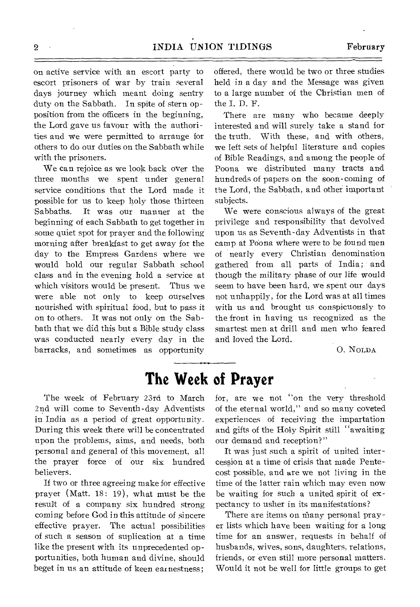on active service with an escort party to escort prisoners of war by train several days journey which meant doing sentry duty on the Sabbath. In spite of stern opposition from the officers in the beginning, the Lord gave us favour with the authorities and we were permitted to arrange for others to do our duties on the Sabbath while with the prisoners.

We can rejoice as we look back over the three months we spent under general service conditions that the Lord made it possible for us to keep holy those thirteen Sabbaths. It was our manner at the beginning of each Sabbath to get together in some quiet spot for prayer and the following morning after breakfast to get away for the day to the Empress Gardens where we would hold our regular Sabbath school class and in the evening hold a service at which visitors would be present. Thus we were able not only to keep ourselves nourished with spiritual food, but to pass it on to others. It was not only on the Sabbath that we did this but a Bible study class was conducted nearly every day in the barracks, and sometimes as opportunity offered, there would be two or three studies held in a day and the Message was given to a large number of the Christian men of the I. D. F.

There are many who became deeply interested and will surely take a stand for the truth. With these, and with others, we left sets of helpful literature and copies of Bible Readings, and among the people of Poona we distributed many tracts and hundreds of papers on the soon-coming of the Lord, the Sabbath, and other important subjects.

We were conscious always of the great privilege and responsibility that devolved upon us as Seventh-day Adventists in that camp at Poona where were to be found men of nearly every Christian denomination gathered from all parts of India; and though the military phase of our life would seem to have been hard, we spent our days not unhappily, for the Lord was at all times with us and brought us conspicuously to the front in having us recognized as the smartest men at drill- and men who feared and loved the Lord.

0. NOLDA

## **The Week of Prayer**

The week of February 23rd to March 2nd will come to Seventh-day Adventists in India as a period of great opportunity. During this week there will be concentrated upon the problems, aims, and needs, both personal and general of this movement, all the prayer force of our six hundred believers.

If two or three agreeing make for effective prayer (Matt. 18: 19), what must be the result of a company six hundred strong coming before God in this attitude of sincere effective prayer. The actual possibilities of such a season of suplication at a time like the present with its unprecedented opportunities, both human and divine, should beget in us an attitude of keen earnestness;

for, are we not "on the very threshold of the eternal world," and so many coveted experiences of receiving the impartation and gifts of the Holy Spirit still "awaiting our demand and reception?"

It was just such a spirit of united intercession at a time of crisis that made Pentecost possible, and are we not living in the time of the latter rain which may even now be waiting for such a united spirit of expectancy to usher in its manifestations?

There are items on many personal prayer lists which have been waiting for a long time for an answer, requests in behalf of husbands, wives, sons, daughters, relations, friends, or even still more personal matters. Would it not be well for little groups to get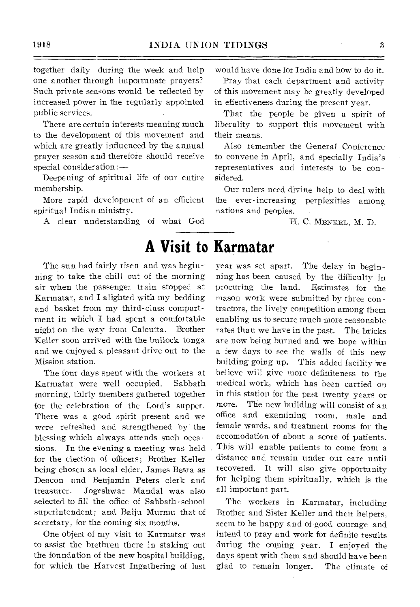together daily during the week and help one another through importunate prayers? Such private seasons would be reflected by increased power in the regularly appointed public services.

There are certain interests meaning much to the development of this movement and which are greatly influenced by the annual prayer season and therefore should receive special consideration:—

Deepening of spiritual life of our entire membership.

More rapid development of an efficient spiritual Indian ministry.

A clear understanding of what God

would have done for India and how to do it.

Pray that each department and activity of this movement may be greatly developed in effectiveness during the present year.

That the people be given a spirit of liberality to support this movement with their means.

Also remember the General Conference to convene in April, and specially India's representatives and interests to be considered.

Our rulers need divine help to deal with the ever-increasing perplexities among nations and peoples.

H. C. MENKEL, M. D.

# **A Visit to Karmatar**

The sun had fairly risen and was beginning to take the chill out of the morning air when the passenger train stopped at Karmatar, and I alighted with my bedding and basket from my third-class compartment in which I had spent a comfortable night on the way from Calcutta. Brother Keller soon arrived with the bullock tonga and we enjoyed a pleasant drive out to the Mission station.

The four days spent with the workers at Karmatar were well occupied. Sabbath morning, thirty members gathered together for the celebration of the Lord's supper. There was a good spirit present and we were refreshed and strengthened by the blessing which always attends such occa sions. In the evening a meeting was held for the election of officers; Brother Keller being chosen as local elder, James Besra as Deacon and Benjamin Peters clerk and treasurer. Jogeshwar Mandal was also selected to fill the office of Sabbath-school superintendent; and Baiju Murmu that of secretary, for the coming six months.

One object of my visit to Karmatar was to assist the brethren there in staking out the foundation of the new hospital building, for which the Harvest Ingathering of last year was set apart. The delay in beginning has been caused by the difficulty in procuring the land. Estimates for the mason work were submitted by three contractors, the lively competition among them enabling us to secure much more reasonable rates than we have in the past. The bricks are now being burned and we hope within a few days to see the walls of this new building going up. This added facility we believe will give more definiteness to the medical work, which has been carried on in this station for the past twenty years or more. The new building will consist of an office and examining room, male and female wards, and treatment rooms for the accomodation of about a score of patients. This will enable patients to come from a distance and remain under our care until recovered. It will also give opportunity for helping them spiritually, which is the all important part.

The workers in Karmatar, including Brother and Sister Keller and their helpers, seem to be happy and of-good courage and intend to pray and work for definite results during the coming year. I enjoyed the days spent with them and should have been glad to remain longer. The climate of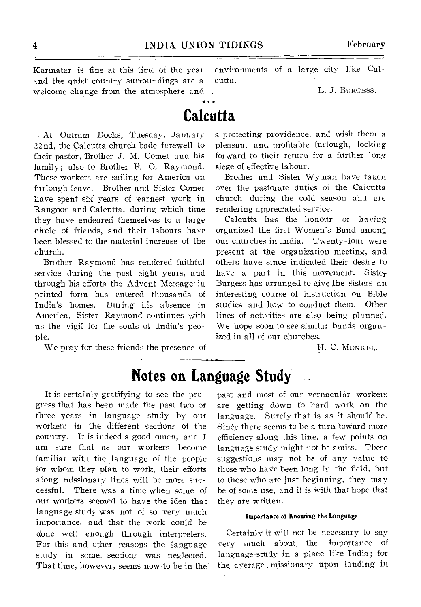and the quiet country surroundings are a cutta. welcome change from the atmosphere and , T. J. BURGESS.

Karmatar is fine at this time of the year environments of a large city like Cal-

# **Calcutta**

At Outram Docks, Tuesday, January 22nd, the Calcutta church bade farewell to their pastor, Brother J. M. Comer and his family; also to Brother F. 0. Raymond. These workers are sailing for America on furlough leave. Brother and Sister Comer have spent six years of earnest work in Rangoon and Calcutta, during which time they have endeared themselves to a large circle of friends, and their labours have been blessed to the material increase of the church.

Brother Raymond has rendered faithful service during the past eight years, and through his efforts the Advent Message in printed form has entered thousands of India's homes. During his absence in America, Sister Raymond continues with us the vigil for the souls of India's people.

We pray for these friends the presence of

a protecting providence, and wish them a pleasant and profitable furlough, looking forward to their return for a further long siege of effective labour.

Brother and Sister Wyman have taken over the pastorate duties of the Calcutta church during the cold season and are rendering appreciated service.

Calcutta has the honour of having organized the first Women's Band among our churches in India. Twenty-four were present at the organization meeting, and others have since indicated their desire to have a part in this movement. Sister Burgess has arranged to give the sisters an interesting course of instruction on Bible studies and how to conduct them. Other lines of activities are also being planned, We hope soon to see similar bands organized in all of our churches.

H. C. MENKEL.

# **Notes on Language Study**

It is certainly gratifying to see the progress that has been made the past two or three years in language study by our workers in the different sections of the country. It is indeed a good omen, and I am sure that as our workers become familiar with the language of the people for whom they plan to work, their efforts along missionary lines will be more successful. There was a time when some of our workers seemed to have the idea that language study was not of so very much importance, and that the work could be done well enough through interpreters. For this and other reasons the language study in some sections was neglected. That time, however, seems now to be in the past and most of our vernacular workers are getting down to hard work on the language. Surely that is as it should be. Since there seems to be a turn toward more efficiency along this line, a few points on language study might not be amiss. These suggestions may not be of any value to those who have been long in the field, but to those who are just beginning, they may be of some use, and it is with that hope that they are written.

### Importance of Knowing the Language

Certainly it will not be necessary to say very much about the importance of language study in a place like India; for the average missionary upon landing in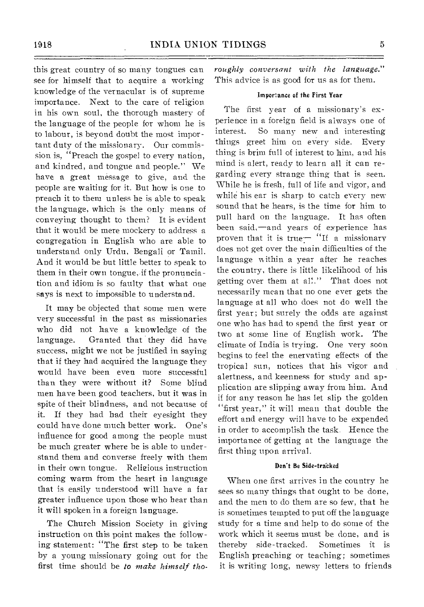this great country of so many tongues can see for himself that to acquire a working knowledge of the vernacular is of supreme importance. Next to the care of religion in his own soul, the thorough mastery of the language of the people for whom he is to labour, is beyond doubt the most important duty of the missionary. Our commission is, "Preach the gospel to every nation, and kindred, and tongue and people." We have a great message to give, and the people are waiting for it. But how is one to preach it to them unless he is able to speak the language, which is the only means of conveying thought to them? It is evident that it would be mere mockery to address a congregation in English who are able to understand only Urdu, Bengali or Tamil. And it would be but little better to speak to them in their own tongue, if the pronunciation and idiom is so faulty that what one says is next to impossible to understand.

It may be objected that some men were very successful in the past as missionaries who did not have a knowledge of the language. Granted that they did have success, might we not be justified in saying that if they had acquired the language they would have been even more successful than they were without it? Some blind men have been good teachers, but it was in spite of their blindness, and not because of it. If they had had their eyesight they could have done much better work. One's influence for good among the people must be much greater where he is able to understand them and converse freely with them in their own tongue. Relieious instruction coming warm from the heart in language that is easily understood will have a far greater influence upon those who hear than it will spoken in a foreign language.

The Church Mission Society in giving instruction on this point makes the following statement: "The first step to be taken by a young missionary going out for the first time should be *to make himself tho-* *roughly conversant with the language."*  This advice is as good for us as for them.

### Importance of the First Year

The first year of a missionary's experience in a foreign field is always one of interest. So many new and interesting things greet him on every side. Every thing is brim full of interest to him, and his mind is alert, ready to learn all it can regarding every strange thing that is seen. While he is fresh, full of life and vigor, and while his ear is sharp to catch every new sound that he hears, is the time for him to pull hard on the language. It has often been said,—and years of experience has proven that it is true $-$  "If a missionary does not get over the main difficulties of the language within a year after he reaches the country, there is little likelihood of his getting over them at all." That does not necessarily mean that no one ever gets the language at all who does not do well the first year; but surely the odds are against one who has had to spend the first year or two at some line of English work. The climate of India is trying. One very soon begins to feel the enervating effects of the tropical sun, notices that his vigor and alertness, and keenness for study and application are slipping away from him. And if for any reason he has let slip the golden "first year," it will mean that double the effort and energy will have to be expended in order to accomplish the task. Hence the importance of getting at the language the first thing upon arrival.

### Don't Be Side-tracked

When one first arrives in the country he sees so many things that ought to be done, and the men to do them are so few, that he is sometimes tempted to put off the language study for a time and help to do some of the work which it seems must be done, and is thereby side-tracked. Sometimes it is English preaching or teaching; sometimes it is writing long, newsy letters to friends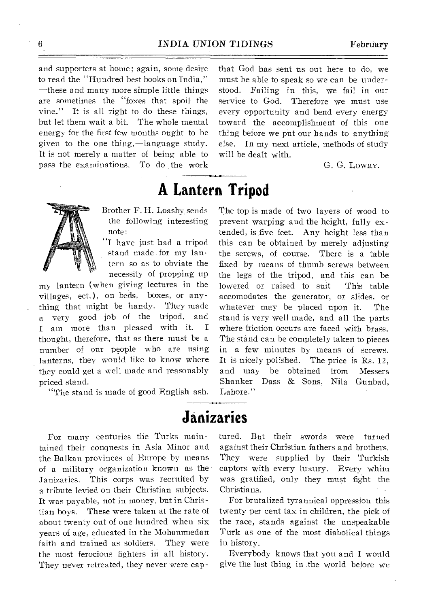**A Lantern Tripod** 

and supporters at home; again, some desire to read the "Hundred best books on India," —these and many more simple little things are sometimes the "foxes that spoil-the vine." It is all right to do these things, but let them wait a bit. The whole mental energy for the first few months ought to be given to the one thing,—language study. It is not merely a matter of being able to pass the examinations. To do the work that God has sent us out here to do, we must be able to speak so we can be understood. Failing in this, we fail in our service to God. Therefore we must use every opportunity and bend every energy toward the accomplishment of this one, thing before we pitt our hands to anything else. In my next article, methods of study will be dealt with.

G. G. LOWRY.

Brother F. H. Loasby sends the following interesting note:

"I have just had a tripod stand made for my lantern so as to obviate the necessity of propping up

my lantern (when giving lectures in the villages, ect.), on beds, boxes, or anything that might be handy. They made a very good job of the tripod, and I am more than pleased with it. I thought, therefore, that as there must be a number of our people who are using lanterns, they would like to know where they could get a well made and reasonably priced stand.

"The stand is made of good English ash.

The top is made of two layers of wood to prevent warping and the height, fully extended, is five feet. Any height less than this can be obtained by merely adjusting the screws, of course. There is a table fixed by means of thumb screws between the legs of the tripod, and this can be lowered or raised to suit This table accomodates the generator, or slides, or whatever may be placed upon it. The stand is very well made, and all the parts where friction occurs are faced with brass. The stand can be completely taken to pieces in a few minutes by means of screws. It is nicely polished. The price is Rs. 12, and may be obtained from Messers Shanker Dass & Sons, Nila Gunbad, Lahore."

# **Janizaries**

For many centuries the Turks maintained their conquests in Asia Minor and the Balkan provinces of Europe by means of a military organization known as the Janizaries. This corps was recruited by a tribute levied on their Christian subjects. It was payable, not in money, but in Christian boys. These were taken at the rate of about twenty out of one hundred when six years of age, educated in the Mohammedan faith and trained as soldiers. They were the most ferocious fighters in all history. They never retreated, they never were captured. But their swords were turned against their Christian fathers and brothers. They were supplied by their Turkish captors with every luxury. Every whim was gratified, only they must fight the Christians.

For brutalized tyrannical oppression this twenty per cent tax in children, the pick of the race, stands against the unspeakable Turk as one of the most diabolical things in history.

Everybody knows that you and I would give the last thing in .the world before we

6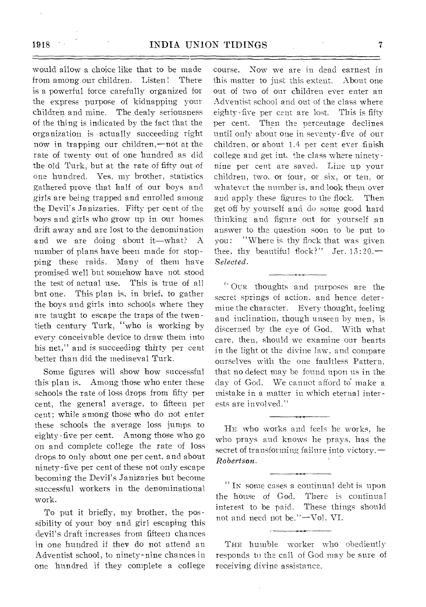### 1918 INDIA UNION TIDINGS 7

would allow a choice like that to be made from among our children. Listen! There is a powerful force carefully organized for the express purpose of kidnapping your children and mine. The dealy seriousness of the thing is indicated by the fact that the organization is actually succeeding right now in trapping our children,—not at the rate of twenty out of one hundred as did the old Turk, but at the rate of fifty out of one hundred. Yes, my brother, statistics gathered prove that half of our boys and girls are being trapped and enrolled among the Devil's Janizaries. Fifty per cent of the boys and girls who grow up in our homes drift away and are lost to the denomination and we are doing about it—what? A number of plans have been made for stopping these raids. Many of them have promised well but somehow have not stood the test of actual use. This is true of all but one. This plan is, in brief, to gather the boys and girls into schools where they are taught to escape the traps of the twentieth century Turk, "who is working by every conceivable device to draw them. into his net," and is succeeding thirty per cent better than did the mediaeval Turk.

Some figures will show how successful this plan is. Among those who enter these schools the rate of loss drops from fifty per cent, the general average, to fifteen per cent; while among those who do not enter these schools the average loss jumps to eighty-five per cent. Among those who go on and complete college the rate of loss drops to only about one per cent, and about ninety-five per cent of these not only escape becoming the Devil's Janizaries but become successful workers in the denominational work.

To put it briefly, my brother, the possibility of your boy and girl escaping this devil's draft increases from fifteen chances in one hundred if they do not attend an Adventist school, to ninety-nine chances in one hundred if they complete a college course. Now we are in dead earnest in this matter to just this extent. About one out of two of our children ever enter an Adventist school and out of the class where eighty-five per cent are lost. This is fifty per cent. Then the percentage declines until only about one in seventy-five of our children, or about 1.4 per cent ever finish college and get int, the class where ninetynine per cent are saved. Line up your children, two, or four, or six, or ten, or whatever the number is, and look them over and apply these figures to the flock. Then get off by yourself and do some good hard thinking and figure out for yourself an answer to the question soon to be put to you: "Where is thy flock that was given thee, thy beautiful flock?" Jer.  $13:20$ . *Selected.* 

" OUR thoughts and purposes are the secret springs of action, and hence determine the character. Every thought, feeling and inclination, though unseen by men, is discerned by the eye of God. With what care, then, should we examine our hearts in the light of the divine law, and compare ourselves with the one faultless Pattern, that no defect may be found upon us in the day of God. We cannot afford to make a mistake in a matter in which eternal interests are involved."

HE who works and feels he works, he who prays and knows he prays, has the secret of transforming failure into victory. -*Robertson.* 

IN some cases a continual debt is upon the house of God. There is continual interest to be paid. These things should not and need not be." —Vol. VI.

THE humble worker who obediently responds to the call of God may be sure of receiving divine assistance.